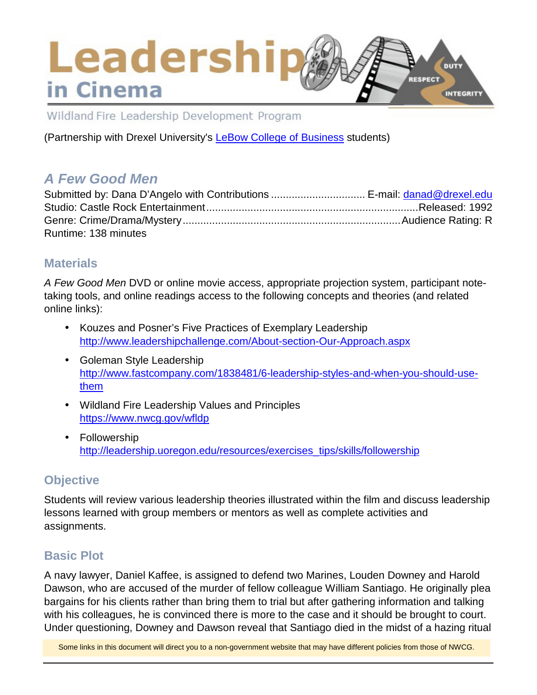## **Leadership** DUTY **RESPECT** in Cinema INTEGRITY

Wildland Fire Leadership Development Program

(Partnership with Drexel University's [LeBow College of Business](http://www.lebow.drexel.edu/index.php) students)

# *A Few Good Men*

| Submitted by: Dana D'Angelo with Contributions  E-mail: danad@drexel.edu |  |
|--------------------------------------------------------------------------|--|
|                                                                          |  |
|                                                                          |  |
| Runtime: 138 minutes                                                     |  |

### **Materials**

*A Few Good Men* DVD or online movie access, appropriate projection system, participant notetaking tools, and online readings access to the following concepts and theories (and related online links):

- Kouzes and Posner's Five Practices of Exemplary Leadership <http://www.leadershipchallenge.com/About-section-Our-Approach.aspx>
- Goleman Style Leadership [http://www.fastcompany.com/1838481/6-leadership-styles-and-when-you-should-use](http://www.fastcompany.com/1838481/6-leadership-styles-and-when-you-should-use-them)[them](http://www.fastcompany.com/1838481/6-leadership-styles-and-when-you-should-use-them)
- Wildland Fire Leadership Values and Principles <https://www.nwcg.gov/wfldp>
- Followership [http://leadership.uoregon.edu/resources/exercises\\_tips/skills/followership](http://leadership.uoregon.edu/resources/exercises_tips/skills/followership)

# **Objective**

Students will review various leadership theories illustrated within the film and discuss leadership lessons learned with group members or mentors as well as complete activities and assignments.

## **Basic Plot**

A navy lawyer, Daniel Kaffee, is assigned to defend two Marines, Louden Downey and Harold Dawson, who are accused of the murder of fellow colleague William Santiago. He originally plea bargains for his clients rather than bring them to trial but after gathering information and talking with his colleagues, he is convinced there is more to the case and it should be brought to court. Under questioning, Downey and Dawson reveal that Santiago died in the midst of a hazing ritual

Some links in this document will direct you to a non-government website that may have different policies from those of NWCG.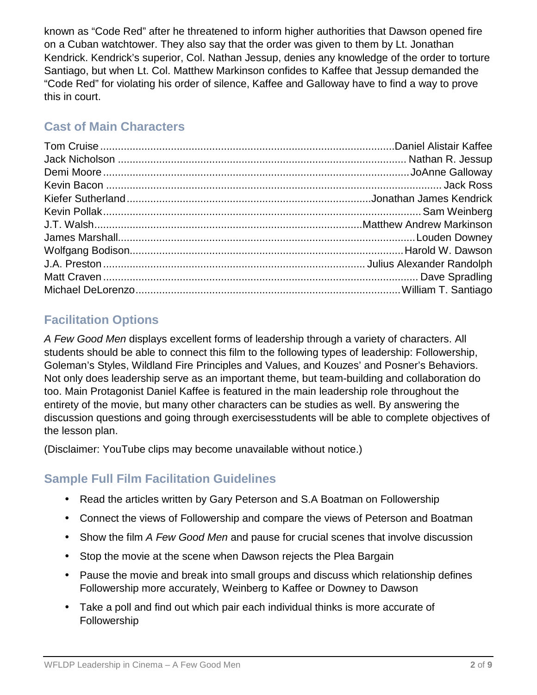known as "Code Red" after he threatened to inform higher authorities that Dawson opened fire on a Cuban watchtower. They also say that the order was given to them by Lt. Jonathan Kendrick. Kendrick's superior, Col. Nathan Jessup, denies any knowledge of the order to torture Santiago, but when Lt. Col. Matthew Markinson confides to Kaffee that Jessup demanded the "Code Red" for violating his order of silence, Kaffee and Galloway have to find a way to prove this in court.

# **Cast of Main Characters**

# **Facilitation Options**

*A Few Good Men* displays excellent forms of leadership through a variety of characters. All students should be able to connect this film to the following types of leadership: Followership, Goleman's Styles, Wildland Fire Principles and Values, and Kouzes' and Posner's Behaviors. Not only does leadership serve as an important theme, but team-building and collaboration do too. Main Protagonist Daniel Kaffee is featured in the main leadership role throughout the entirety of the movie, but many other characters can be studies as well. By answering the discussion questions and going through exercisesstudents will be able to complete objectives of the lesson plan.

(Disclaimer: YouTube clips may become unavailable without notice.)

# **Sample Full Film Facilitation Guidelines**

- Read the articles written by Gary Peterson and S.A Boatman on Followership
- Connect the views of Followership and compare the views of Peterson and Boatman
- Show the film *A Few Good Men* and pause for crucial scenes that involve discussion
- Stop the movie at the scene when Dawson rejects the Plea Bargain
- Pause the movie and break into small groups and discuss which relationship defines Followership more accurately, Weinberg to Kaffee or Downey to Dawson
- Take a poll and find out which pair each individual thinks is more accurate of Followership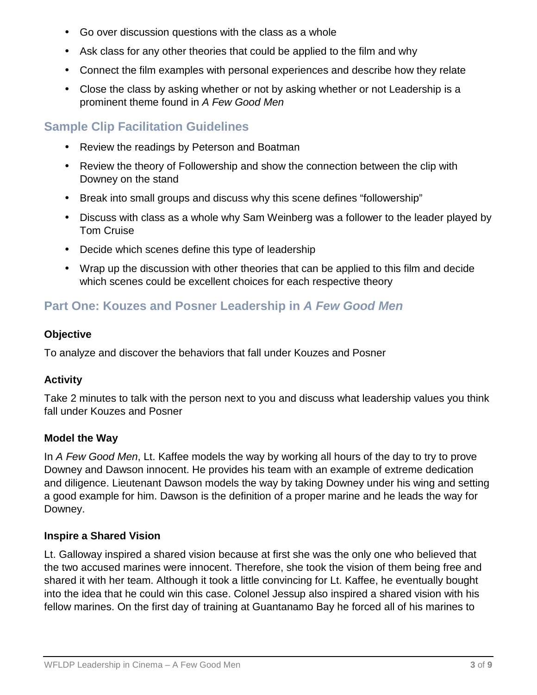- Go over discussion questions with the class as a whole
- Ask class for any other theories that could be applied to the film and why
- Connect the film examples with personal experiences and describe how they relate
- Close the class by asking whether or not by asking whether or not Leadership is a prominent theme found in *A Few Good Men*

## **Sample Clip Facilitation Guidelines**

- Review the readings by Peterson and Boatman
- Review the theory of Followership and show the connection between the clip with Downey on the stand
- Break into small groups and discuss why this scene defines "followership"
- Discuss with class as a whole why Sam Weinberg was a follower to the leader played by Tom Cruise
- Decide which scenes define this type of leadership
- Wrap up the discussion with other theories that can be applied to this film and decide which scenes could be excellent choices for each respective theory

### **Part One: Kouzes and Posner Leadership in** *A Few Good Men*

### **Objective**

To analyze and discover the behaviors that fall under Kouzes and Posner

### **Activity**

Take 2 minutes to talk with the person next to you and discuss what leadership values you think fall under Kouzes and Posner

### **Model the Way**

In *A Few Good Men*, Lt. Kaffee models the way by working all hours of the day to try to prove Downey and Dawson innocent. He provides his team with an example of extreme dedication and diligence. Lieutenant Dawson models the way by taking Downey under his wing and setting a good example for him. Dawson is the definition of a proper marine and he leads the way for Downey.

### **Inspire a Shared Vision**

Lt. Galloway inspired a shared vision because at first she was the only one who believed that the two accused marines were innocent. Therefore, she took the vision of them being free and shared it with her team. Although it took a little convincing for Lt. Kaffee, he eventually bought into the idea that he could win this case. Colonel Jessup also inspired a shared vision with his fellow marines. On the first day of training at Guantanamo Bay he forced all of his marines to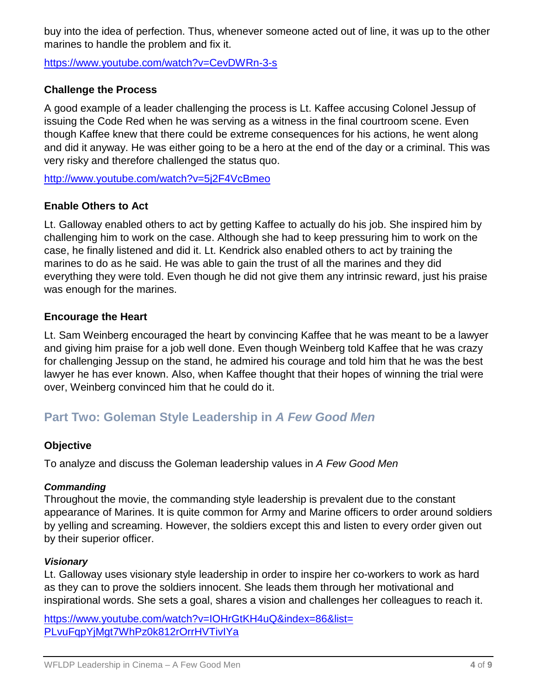buy into the idea of perfection. Thus, whenever someone acted out of line, it was up to the other marines to handle the problem and fix it.

<https://www.youtube.com/watch?v=CevDWRn-3-s>

### **Challenge the Process**

A good example of a leader challenging the process is Lt. Kaffee accusing Colonel Jessup of issuing the Code Red when he was serving as a witness in the final courtroom scene. Even though Kaffee knew that there could be extreme consequences for his actions, he went along and did it anyway. He was either going to be a hero at the end of the day or a criminal. This was very risky and therefore challenged the status quo.

<http://www.youtube.com/watch?v=5j2F4VcBmeo>

### **Enable Others to Act**

Lt. Galloway enabled others to act by getting Kaffee to actually do his job. She inspired him by challenging him to work on the case. Although she had to keep pressuring him to work on the case, he finally listened and did it. Lt. Kendrick also enabled others to act by training the marines to do as he said. He was able to gain the trust of all the marines and they did everything they were told. Even though he did not give them any intrinsic reward, just his praise was enough for the marines.

#### **Encourage the Heart**

Lt. Sam Weinberg encouraged the heart by convincing Kaffee that he was meant to be a lawyer and giving him praise for a job well done. Even though Weinberg told Kaffee that he was crazy for challenging Jessup on the stand, he admired his courage and told him that he was the best lawyer he has ever known. Also, when Kaffee thought that their hopes of winning the trial were over, Weinberg convinced him that he could do it.

### **Part Two: Goleman Style Leadership in** *A Few Good Men*

#### **Objective**

To analyze and discuss the Goleman leadership values in *A Few Good Men*

#### *Commanding*

Throughout the movie, the commanding style leadership is prevalent due to the constant appearance of Marines. It is quite common for Army and Marine officers to order around soldiers by yelling and screaming. However, the soldiers except this and listen to every order given out by their superior officer.

#### *Visionary*

Lt. Galloway uses visionary style leadership in order to inspire her co-workers to work as hard as they can to prove the soldiers innocent. She leads them through her motivational and inspirational words. She sets a goal, shares a vision and challenges her colleagues to reach it.

[https://www.youtube.com/watch?v=IOHrGtKH4uQ&index=86&list=](https://www.youtube.com/watch?v=IOHrGtKH4uQ&index=86&list=PLvuFqpYjMgt7WhPz0k812rOrrHVTivIYa) [PLvuFqpYjMgt7WhPz0k812rOrrHVTivIYa](https://www.youtube.com/watch?v=IOHrGtKH4uQ&index=86&list=PLvuFqpYjMgt7WhPz0k812rOrrHVTivIYa)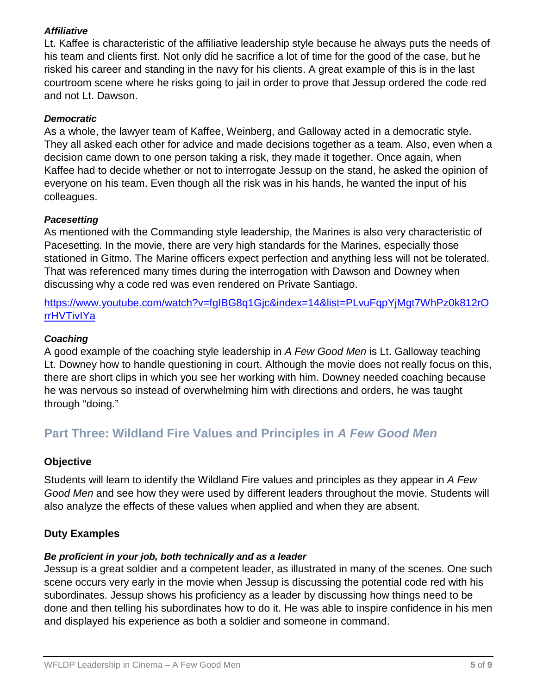### *Affiliative*

Lt. Kaffee is characteristic of the affiliative leadership style because he always puts the needs of his team and clients first. Not only did he sacrifice a lot of time for the good of the case, but he risked his career and standing in the navy for his clients. A great example of this is in the last courtroom scene where he risks going to jail in order to prove that Jessup ordered the code red and not Lt. Dawson.

### *Democratic*

As a whole, the lawyer team of Kaffee, Weinberg, and Galloway acted in a democratic style. They all asked each other for advice and made decisions together as a team. Also, even when a decision came down to one person taking a risk, they made it together. Once again, when Kaffee had to decide whether or not to interrogate Jessup on the stand, he asked the opinion of everyone on his team. Even though all the risk was in his hands, he wanted the input of his colleagues.

#### *Pacesetting*

As mentioned with the Commanding style leadership, the Marines is also very characteristic of Pacesetting. In the movie, there are very high standards for the Marines, especially those stationed in Gitmo. The Marine officers expect perfection and anything less will not be tolerated. That was referenced many times during the interrogation with Dawson and Downey when discussing why a code red was even rendered on Private Santiago.

[https://www.youtube.com/watch?v=fgIBG8q1Gjc&index=14&list=PLvuFqpYjMgt7WhPz0k812rO](https://www.youtube.com/watch?v=fgIBG8q1Gjc&index=14&list=PLvuFqpYjMgt7WhPz0k812rOrrHVTivIYa) [rrHVTivIYa](https://www.youtube.com/watch?v=fgIBG8q1Gjc&index=14&list=PLvuFqpYjMgt7WhPz0k812rOrrHVTivIYa)

#### *Coaching*

A good example of the coaching style leadership in *A Few Good Men* is Lt. Galloway teaching Lt. Downey how to handle questioning in court. Although the movie does not really focus on this, there are short clips in which you see her working with him. Downey needed coaching because he was nervous so instead of overwhelming him with directions and orders, he was taught through "doing."

## **Part Three: Wildland Fire Values and Principles in** *A Few Good Men*

### **Objective**

Students will learn to identify the Wildland Fire values and principles as they appear in *A Few Good Men* and see how they were used by different leaders throughout the movie. Students will also analyze the effects of these values when applied and when they are absent.

### **Duty Examples**

#### *Be proficient in your job, both technically and as a leader*

Jessup is a great soldier and a competent leader, as illustrated in many of the scenes. One such scene occurs very early in the movie when Jessup is discussing the potential code red with his subordinates. Jessup shows his proficiency as a leader by discussing how things need to be done and then telling his subordinates how to do it. He was able to inspire confidence in his men and displayed his experience as both a soldier and someone in command.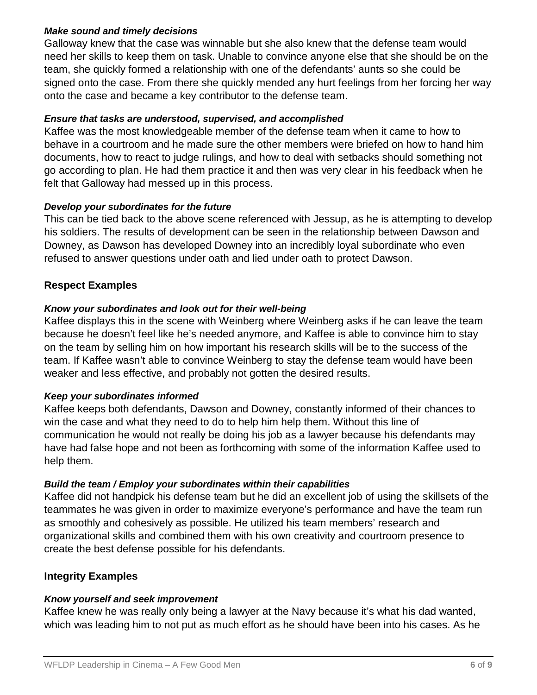#### *Make sound and timely decisions*

Galloway knew that the case was winnable but she also knew that the defense team would need her skills to keep them on task. Unable to convince anyone else that she should be on the team, she quickly formed a relationship with one of the defendants' aunts so she could be signed onto the case. From there she quickly mended any hurt feelings from her forcing her way onto the case and became a key contributor to the defense team.

### *Ensure that tasks are understood, supervised, and accomplished*

Kaffee was the most knowledgeable member of the defense team when it came to how to behave in a courtroom and he made sure the other members were briefed on how to hand him documents, how to react to judge rulings, and how to deal with setbacks should something not go according to plan. He had them practice it and then was very clear in his feedback when he felt that Galloway had messed up in this process.

#### *Develop your subordinates for the future*

This can be tied back to the above scene referenced with Jessup, as he is attempting to develop his soldiers. The results of development can be seen in the relationship between Dawson and Downey, as Dawson has developed Downey into an incredibly loyal subordinate who even refused to answer questions under oath and lied under oath to protect Dawson.

### **Respect Examples**

#### *Know your subordinates and look out for their well-being*

Kaffee displays this in the scene with Weinberg where Weinberg asks if he can leave the team because he doesn't feel like he's needed anymore, and Kaffee is able to convince him to stay on the team by selling him on how important his research skills will be to the success of the team. If Kaffee wasn't able to convince Weinberg to stay the defense team would have been weaker and less effective, and probably not gotten the desired results.

#### *Keep your subordinates informed*

Kaffee keeps both defendants, Dawson and Downey, constantly informed of their chances to win the case and what they need to do to help him help them. Without this line of communication he would not really be doing his job as a lawyer because his defendants may have had false hope and not been as forthcoming with some of the information Kaffee used to help them.

### *Build the team / Employ your subordinates within their capabilities*

Kaffee did not handpick his defense team but he did an excellent job of using the skillsets of the teammates he was given in order to maximize everyone's performance and have the team run as smoothly and cohesively as possible. He utilized his team members' research and organizational skills and combined them with his own creativity and courtroom presence to create the best defense possible for his defendants.

### **Integrity Examples**

### *Know yourself and seek improvement*

Kaffee knew he was really only being a lawyer at the Navy because it's what his dad wanted, which was leading him to not put as much effort as he should have been into his cases. As he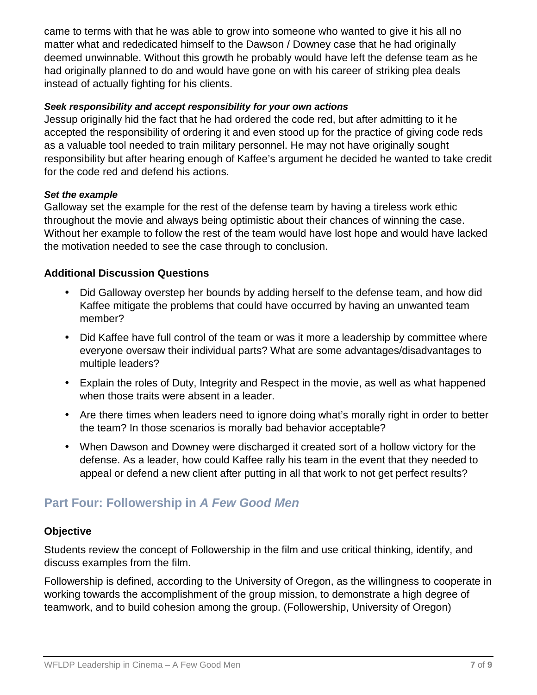came to terms with that he was able to grow into someone who wanted to give it his all no matter what and rededicated himself to the Dawson / Downey case that he had originally deemed unwinnable. Without this growth he probably would have left the defense team as he had originally planned to do and would have gone on with his career of striking plea deals instead of actually fighting for his clients.

#### *Seek responsibility and accept responsibility for your own actions*

Jessup originally hid the fact that he had ordered the code red, but after admitting to it he accepted the responsibility of ordering it and even stood up for the practice of giving code reds as a valuable tool needed to train military personnel. He may not have originally sought responsibility but after hearing enough of Kaffee's argument he decided he wanted to take credit for the code red and defend his actions.

#### *Set the example*

Galloway set the example for the rest of the defense team by having a tireless work ethic throughout the movie and always being optimistic about their chances of winning the case. Without her example to follow the rest of the team would have lost hope and would have lacked the motivation needed to see the case through to conclusion.

### **Additional Discussion Questions**

- Did Galloway overstep her bounds by adding herself to the defense team, and how did Kaffee mitigate the problems that could have occurred by having an unwanted team member?
- Did Kaffee have full control of the team or was it more a leadership by committee where everyone oversaw their individual parts? What are some advantages/disadvantages to multiple leaders?
- Explain the roles of Duty, Integrity and Respect in the movie, as well as what happened when those traits were absent in a leader.
- Are there times when leaders need to ignore doing what's morally right in order to better the team? In those scenarios is morally bad behavior acceptable?
- When Dawson and Downey were discharged it created sort of a hollow victory for the defense. As a leader, how could Kaffee rally his team in the event that they needed to appeal or defend a new client after putting in all that work to not get perfect results?

## **Part Four: Followership in** *A Few Good Men*

### **Objective**

Students review the concept of Followership in the film and use critical thinking, identify, and discuss examples from the film.

Followership is defined, according to the University of Oregon, as the willingness to cooperate in working towards the accomplishment of the group mission, to demonstrate a high degree of teamwork, and to build cohesion among the group. (Followership, University of Oregon)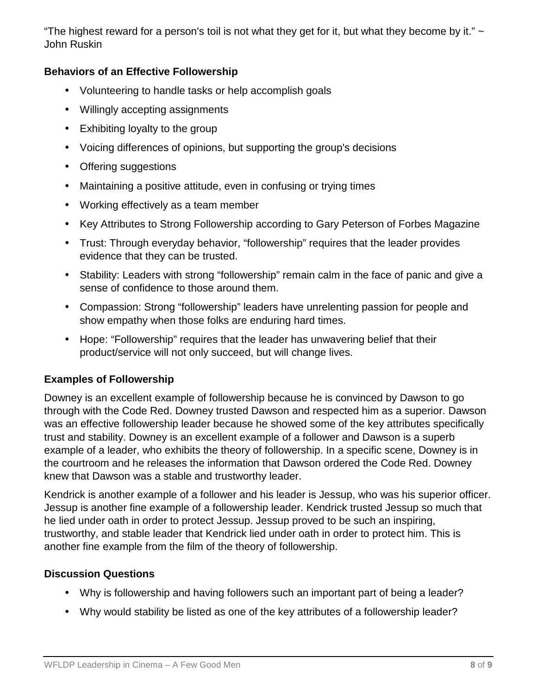"The highest reward for a person's toil is not what they get for it, but what they become by it."  $\sim$ John Ruskin

### **Behaviors of an Effective Followership**

- Volunteering to handle tasks or help accomplish goals
- Willingly accepting assignments
- Exhibiting loyalty to the group
- Voicing differences of opinions, but supporting the group's decisions
- Offering suggestions
- Maintaining a positive attitude, even in confusing or trying times
- Working effectively as a team member
- Key Attributes to Strong Followership according to Gary Peterson of Forbes Magazine
- Trust: Through everyday behavior, "followership" requires that the leader provides evidence that they can be trusted.
- Stability: Leaders with strong "followership" remain calm in the face of panic and give a sense of confidence to those around them.
- Compassion: Strong "followership" leaders have unrelenting passion for people and show empathy when those folks are enduring hard times.
- Hope: "Followership" requires that the leader has unwavering belief that their product/service will not only succeed, but will change lives.

### **Examples of Followership**

Downey is an excellent example of followership because he is convinced by Dawson to go through with the Code Red. Downey trusted Dawson and respected him as a superior. Dawson was an effective followership leader because he showed some of the key attributes specifically trust and stability. Downey is an excellent example of a follower and Dawson is a superb example of a leader, who exhibits the theory of followership. In a specific scene, Downey is in the courtroom and he releases the information that Dawson ordered the Code Red. Downey knew that Dawson was a stable and trustworthy leader.

Kendrick is another example of a follower and his leader is Jessup, who was his superior officer. Jessup is another fine example of a followership leader. Kendrick trusted Jessup so much that he lied under oath in order to protect Jessup. Jessup proved to be such an inspiring, trustworthy, and stable leader that Kendrick lied under oath in order to protect him. This is another fine example from the film of the theory of followership.

### **Discussion Questions**

- Why is followership and having followers such an important part of being a leader?
- Why would stability be listed as one of the key attributes of a followership leader?